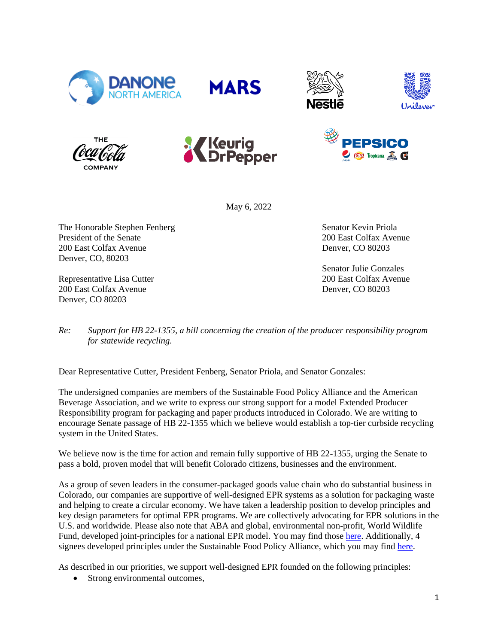













May 6, 2022

The Honorable Stephen Fenberg President of the Senate 200 East Colfax Avenue Denver, CO, 80203

Representative Lisa Cutter 200 East Colfax Avenue Denver, CO 80203

Senator Kevin Priola 200 East Colfax Avenue Denver, CO 80203

Senator Julie Gonzales 200 East Colfax Avenue Denver, CO 80203

*Re: Support for HB 22-1355, a bill concerning the creation of the producer responsibility program for statewide recycling.*

Dear Representative Cutter, President Fenberg, Senator Priola, and Senator Gonzales:

The undersigned companies are members of the Sustainable Food Policy Alliance and the American Beverage Association, and we write to express our strong support for a model Extended Producer Responsibility program for packaging and paper products introduced in Colorado. We are writing to encourage Senate passage of HB 22-1355 which we believe would establish a top-tier curbside recycling system in the United States.

We believe now is the time for action and remain fully supportive of HB 22-1355, urging the Senate to pass a bold, proven model that will benefit Colorado citizens, businesses and the environment.

As a group of seven leaders in the consumer-packaged goods value chain who do substantial business in Colorado, our companies are supportive of well-designed EPR systems as a solution for packaging waste and helping to create a circular economy. We have taken a leadership position to develop principles and key design parameters for optimal EPR programs. We are collectively advocating for EPR solutions in the U.S. and worldwide. Please also note that ABA and global, environmental non-profit, World Wildlife Fund, developed joint-principles for a national EPR model. You may find those [here.](https://files.worldwildlife.org/wwfcmsprod/files/Publication/file/2eu4uhzud0_1_WWF_ABA_Joint_EPR_Principles_FINAL_w_logos.pdf?_ga=2.41657706.936795250.1651696074-11376162.1646768545) Additionally, 4 signees developed principles under the Sustainable Food Policy Alliance, which you may fin[d here.](https://foodpolicyalliance.org/app/uploads/2022/01/sfpa-epr-policy-priorities-january-2022.pdf)

As described in our priorities, we support well-designed EPR founded on the following principles:

• Strong environmental outcomes,